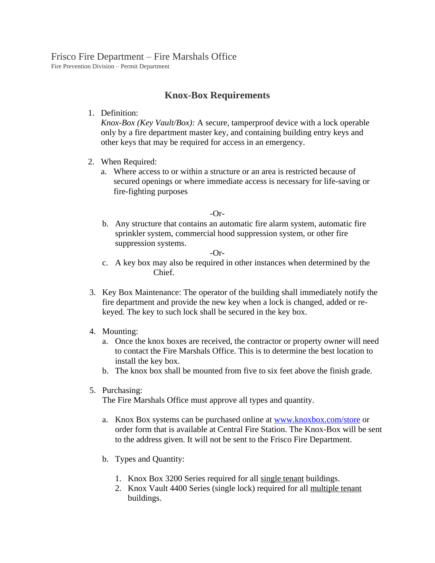## Frisco Fire Department – Fire Marshals Office

Fire Prevention Division – Permit Department

## **Knox-Box Requirements**

1. Definition:

*Knox-Box (Key Vault/Box):* A secure, tamperproof device with a lock operable only by a fire department master key, and containing building entry keys and other keys that may be required for access in an emergency.

- 2. When Required:
	- a. Where access to or within a structure or an area is restricted because of secured openings or where immediate access is necessary for life-saving or fire-fighting purposes

-Or-

b. Any structure that contains an automatic fire alarm system, automatic fire sprinkler system, commercial hood suppression system, or other fire suppression systems.

-Or-

- c. A key box may also be required in other instances when determined by the Chief.
- 3. Key Box Maintenance: The operator of the building shall immediately notify the fire department and provide the new key when a lock is changed, added or rekeyed. The key to such lock shall be secured in the key box.
- 4. Mounting:
	- a. Once the knox boxes are received, the contractor or property owner will need to contact the Fire Marshals Office. This is to determine the best location to install the key box.
	- b. The knox box shall be mounted from five to six feet above the finish grade.
- 5. Purchasing:

The Fire Marshals Office must approve all types and quantity.

- a. Knox Box systems can be purchased online at [www.knoxbox.com/store](http://www.knoxbox.com/store) or order form that is available at Central Fire Station. The Knox-Box will be sent to the address given. It will not be sent to the Frisco Fire Department.
- b. Types and Quantity:
	- 1. Knox Box 3200 Series required for all single tenant buildings.
	- 2. Knox Vault 4400 Series (single lock) required for all multiple tenant buildings.